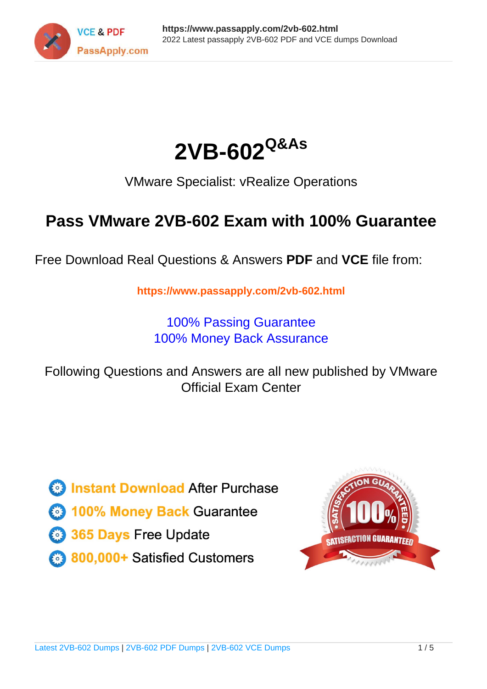



VMware Specialist: vRealize Operations

# **Pass VMware 2VB-602 Exam with 100% Guarantee**

Free Download Real Questions & Answers **PDF** and **VCE** file from:

**https://www.passapply.com/2vb-602.html**

100% Passing Guarantee 100% Money Back Assurance

Following Questions and Answers are all new published by VMware Official Exam Center

**C** Instant Download After Purchase

**83 100% Money Back Guarantee** 

365 Days Free Update

800,000+ Satisfied Customers

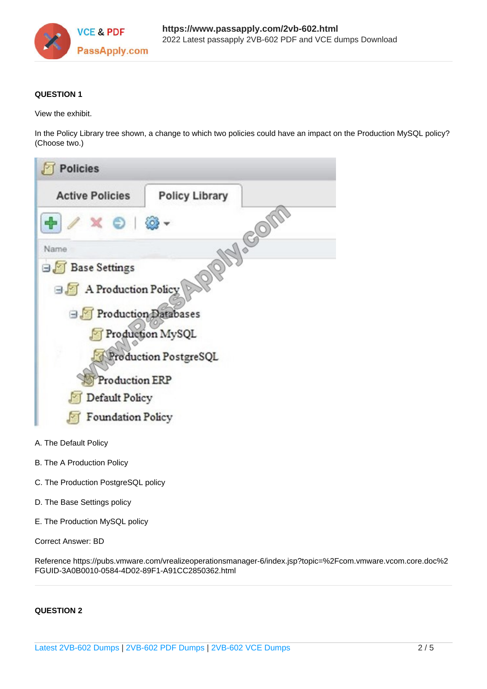

# **QUESTION 1**

View the exhibit.

In the Policy Library tree shown, a change to which two policies could have an impact on the Production MySQL policy? (Choose two.)



- 
- B. The A Production Policy
- C. The Production PostgreSQL policy
- D. The Base Settings policy
- E. The Production MySQL policy

# Correct Answer: BD

Reference https://pubs.vmware.com/vrealizeoperationsmanager-6/index.jsp?topic=%2Fcom.vmware.vcom.core.doc%2 FGUID-3A0B0010-0584-4D02-89F1-A91CC2850362.html

# **QUESTION 2**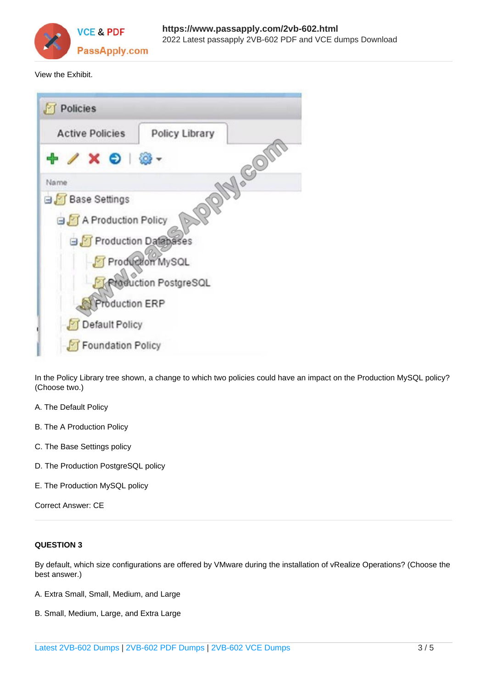

View the Exhibit.



In the Policy Library tree shown, a change to which two policies could have an impact on the Production MySQL policy? (Choose two.)

- A. The Default Policy
- B. The A Production Policy
- C. The Base Settings policy
- D. The Production PostgreSQL policy
- E. The Production MySQL policy

Correct Answer: CE

# **QUESTION 3**

By default, which size configurations are offered by VMware during the installation of vRealize Operations? (Choose the best answer.)

- A. Extra Small, Small, Medium, and Large
- B. Small, Medium, Large, and Extra Large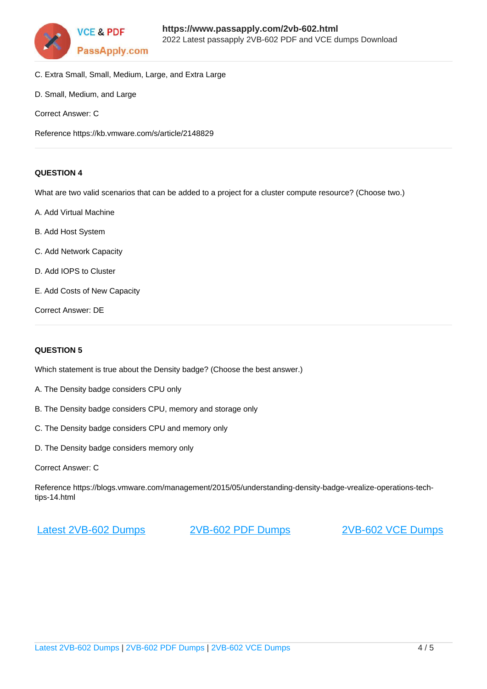

- C. Extra Small, Small, Medium, Large, and Extra Large
- D. Small, Medium, and Large
- Correct Answer: C

Reference https://kb.vmware.com/s/article/2148829

### **QUESTION 4**

What are two valid scenarios that can be added to a project for a cluster compute resource? (Choose two.)

- A. Add Virtual Machine
- B. Add Host System
- C. Add Network Capacity
- D. Add IOPS to Cluster
- E. Add Costs of New Capacity

Correct Answer: DE

#### **QUESTION 5**

Which statement is true about the Density badge? (Choose the best answer.)

- A. The Density badge considers CPU only
- B. The Density badge considers CPU, memory and storage only
- C. The Density badge considers CPU and memory only
- D. The Density badge considers memory only
- Correct Answer: C

Reference https://blogs.vmware.com/management/2015/05/understanding-density-badge-vrealize-operations-techtips-14.html

[Latest 2VB-602 Dumps](https://www.passapply.com/2vb-602.html) [2VB-602 PDF Dumps](https://www.passapply.com/2vb-602.html) [2VB-602 VCE Dumps](https://www.passapply.com/2vb-602.html)